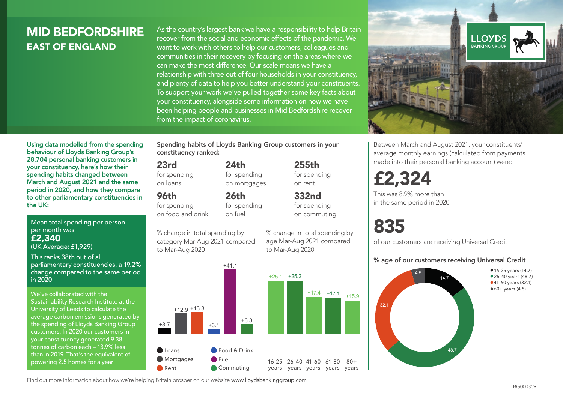# MID BEDFORDSHIRE EAST OF ENGLAND

As the country's largest bank we have a responsibility to help Britain recover from the social and economic effects of the pandemic. We want to work with others to help our customers, colleagues and communities in their recovery by focusing on the areas where we can make the most difference. Our scale means we have a relationship with three out of four households in your constituency, and plenty of data to help you better understand your constituents. To support your work we've pulled together some key facts about your constituency, alongside some information on how we have been helping people and businesses in Mid Bedfordshire recover from the impact of coronavirus.



Between March and August 2021, your constituents' average monthly earnings (calculated from payments made into their personal banking account) were:

£2,324

This was 8.9% more than in the same period in 2020

# 835

of our customers are receiving Universal Credit

#### % age of our customers receiving Universal Credit



Using data modelled from the spending behaviour of Lloyds Banking Group's 28,704 personal banking customers in your constituency, here's how their spending habits changed between March and August 2021 and the same period in 2020, and how they compare to other parliamentary constituencies in the UK:

Mean total spending per person per month was £2,340 (UK Average: £1,929)

This ranks 38th out of all parliamentary constituencies, a 19.2% change compared to the same period in 2020

We've collaborated with the Sustainability Research Institute at the University of Leeds to calculate the average carbon emissions generated by the spending of Lloyds Banking Group customers. In 2020 our customers in your constituency generated 9.38 tonnes of carbon each – 13.9% less than in 2019. That's the equivalent of powering 2.5 homes for a year

Spending habits of Lloyds Banking Group customers in your constituency ranked:

> $24<sub>th</sub>$ for spending on mortgages

26th for spending on fuel

## 23rd

for spending on loans

96th

for spending on food and drink

% change in total spending by category Mar-Aug 2021 compared to Mar-Aug 2020



% change in total spending by age Mar-Aug 2021 compared to Mar-Aug 2020

for spending on rent 332nd for spending on commuting

255th

 $80+$ 

Find out more information about how we're helping Britain prosper on our website www.lloydsbankinggroup.com